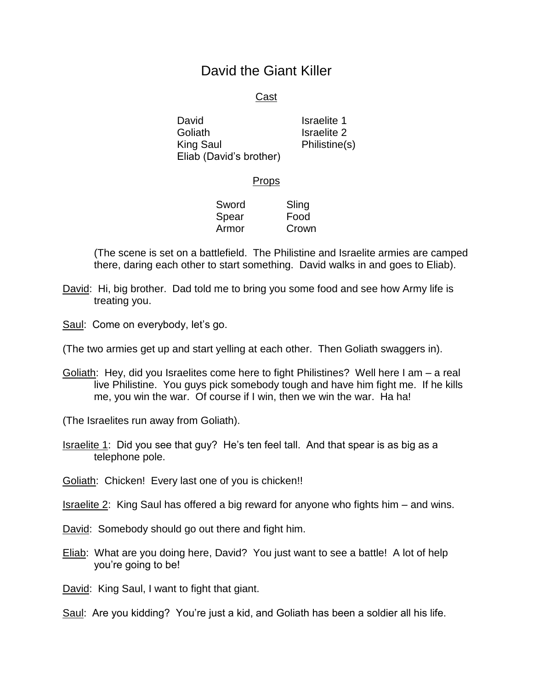## David the Giant Killer

## Cast

David Goliath King Saul Eliab (David's brother) Israelite 1 Israelite 2 Philistine(s)

## **Props**

Sword Spear Armor Sling Food Crown

(The scene is set on a battlefield. The Philistine and Israelite armies are camped there, daring each other to start something. David walks in and goes to Eliab).

David: Hi, big brother. Dad told me to bring you some food and see how Army life is treating you.

Saul: Come on everybody, let's go.

(The two armies get up and start yelling at each other. Then Goliath swaggers in).

Goliath: Hey, did you Israelites come here to fight Philistines? Well here I am - a real live Philistine. You guys pick somebody tough and have him fight me. If he kills me, you win the war. Of course if I win, then we win the war. Ha ha!

(The Israelites run away from Goliath).

Israelite 1: Did you see that guy? He's ten feel tall. And that spear is as big as a telephone pole.

Goliath: Chicken! Every last one of you is chicken!!

Israelite 2: King Saul has offered a big reward for anyone who fights him – and wins.

David: Somebody should go out there and fight him.

Eliab: What are you doing here, David? You just want to see a battle! A lot of help you're going to be!

David: King Saul, I want to fight that giant.

Saul: Are you kidding? You're just a kid, and Goliath has been a soldier all his life.